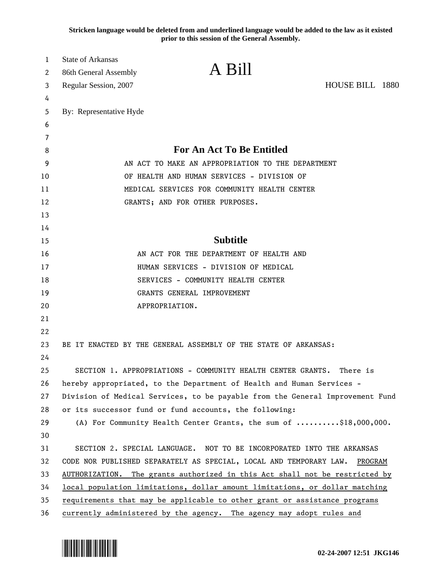**Stricken language would be deleted from and underlined language would be added to the law as it existed prior to this session of the General Assembly.**

| 1      | <b>State of Arkansas</b>                                                      | A Bill                                                                    |                 |
|--------|-------------------------------------------------------------------------------|---------------------------------------------------------------------------|-----------------|
| 2      | 86th General Assembly                                                         |                                                                           |                 |
| 3      | Regular Session, 2007                                                         |                                                                           | HOUSE BILL 1880 |
| 4<br>5 | By: Representative Hyde                                                       |                                                                           |                 |
| 6      |                                                                               |                                                                           |                 |
| 7      |                                                                               |                                                                           |                 |
| 8      |                                                                               | For An Act To Be Entitled                                                 |                 |
| 9      | AN ACT TO MAKE AN APPROPRIATION TO THE DEPARTMENT                             |                                                                           |                 |
| 10     | OF HEALTH AND HUMAN SERVICES - DIVISION OF                                    |                                                                           |                 |
| 11     | MEDICAL SERVICES FOR COMMUNITY HEALTH CENTER                                  |                                                                           |                 |
| 12     | GRANTS; AND FOR OTHER PURPOSES.                                               |                                                                           |                 |
| 13     |                                                                               |                                                                           |                 |
| 14     |                                                                               |                                                                           |                 |
| 15     |                                                                               | <b>Subtitle</b>                                                           |                 |
| 16     |                                                                               | AN ACT FOR THE DEPARTMENT OF HEALTH AND                                   |                 |
| 17     |                                                                               | HUMAN SERVICES - DIVISION OF MEDICAL                                      |                 |
| 18     |                                                                               | SERVICES - COMMUNITY HEALTH CENTER                                        |                 |
| 19     |                                                                               | GRANTS GENERAL IMPROVEMENT                                                |                 |
| 20     |                                                                               | APPROPRIATION.                                                            |                 |
| 21     |                                                                               |                                                                           |                 |
| 22     |                                                                               |                                                                           |                 |
| 23     |                                                                               | BE IT ENACTED BY THE GENERAL ASSEMBLY OF THE STATE OF ARKANSAS:           |                 |
| 24     |                                                                               |                                                                           |                 |
| 25     |                                                                               | SECTION 1. APPROPRIATIONS - COMMUNITY HEALTH CENTER GRANTS.               | There is        |
| 26     | hereby appropriated, to the Department of Health and Human Services -         |                                                                           |                 |
| 27     | Division of Medical Services, to be payable from the General Improvement Fund |                                                                           |                 |
| 28     |                                                                               | or its successor fund or fund accounts, the following:                    |                 |
| 29     |                                                                               | (A) For Community Health Center Grants, the sum of \$18,000,000.          |                 |
| 30     |                                                                               |                                                                           |                 |
| 31     |                                                                               | SECTION 2. SPECIAL LANGUAGE. NOT TO BE INCORPORATED INTO THE ARKANSAS     |                 |
| 32     | CODE NOR PUBLISHED SEPARATELY AS SPECIAL, LOCAL AND TEMPORARY LAW.<br>PROGRAM |                                                                           |                 |
| 33     | AUTHORIZATION. The grants authorized in this Act shall not be restricted by   |                                                                           |                 |
| 34     | local population limitations, dollar amount limitations, or dollar matching   |                                                                           |                 |
| 35     |                                                                               | requirements that may be applicable to other grant or assistance programs |                 |
| 36     | currently administered by the agency. The agency may adopt rules and          |                                                                           |                 |

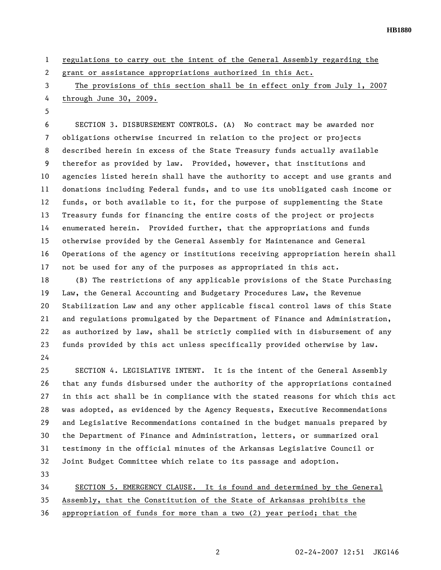**HB1880** 

1 regulations to carry out the intent of the General Assembly regarding the 2 grant or assistance appropriations authorized in this Act. 3 The provisions of this section shall be in effect only from July 1, 2007 4 through June 30, 2009. 5 6 SECTION 3. DISBURSEMENT CONTROLS. (A) No contract may be awarded nor 7 obligations otherwise incurred in relation to the project or projects 8 described herein in excess of the State Treasury funds actually available 9 therefor as provided by law. Provided, however, that institutions and

10 agencies listed herein shall have the authority to accept and use grants and 11 donations including Federal funds, and to use its unobligated cash income or 12 funds, or both available to it, for the purpose of supplementing the State 13 Treasury funds for financing the entire costs of the project or projects 14 enumerated herein. Provided further, that the appropriations and funds 15 otherwise provided by the General Assembly for Maintenance and General 16 Operations of the agency or institutions receiving appropriation herein shall 17 not be used for any of the purposes as appropriated in this act.

18 (B) The restrictions of any applicable provisions of the State Purchasing 19 Law, the General Accounting and Budgetary Procedures Law, the Revenue 20 Stabilization Law and any other applicable fiscal control laws of this State 21 and regulations promulgated by the Department of Finance and Administration, 22 as authorized by law, shall be strictly complied with in disbursement of any 23 funds provided by this act unless specifically provided otherwise by law. 24

25 SECTION 4. LEGISLATIVE INTENT. It is the intent of the General Assembly 26 that any funds disbursed under the authority of the appropriations contained 27 in this act shall be in compliance with the stated reasons for which this act 28 was adopted, as evidenced by the Agency Requests, Executive Recommendations 29 and Legislative Recommendations contained in the budget manuals prepared by 30 the Department of Finance and Administration, letters, or summarized oral 31 testimony in the official minutes of the Arkansas Legislative Council or 32 Joint Budget Committee which relate to its passage and adoption.

33

34 SECTION 5. EMERGENCY CLAUSE. It is found and determined by the General 35 Assembly, that the Constitution of the State of Arkansas prohibits the 36 appropriation of funds for more than a two (2) year period; that the